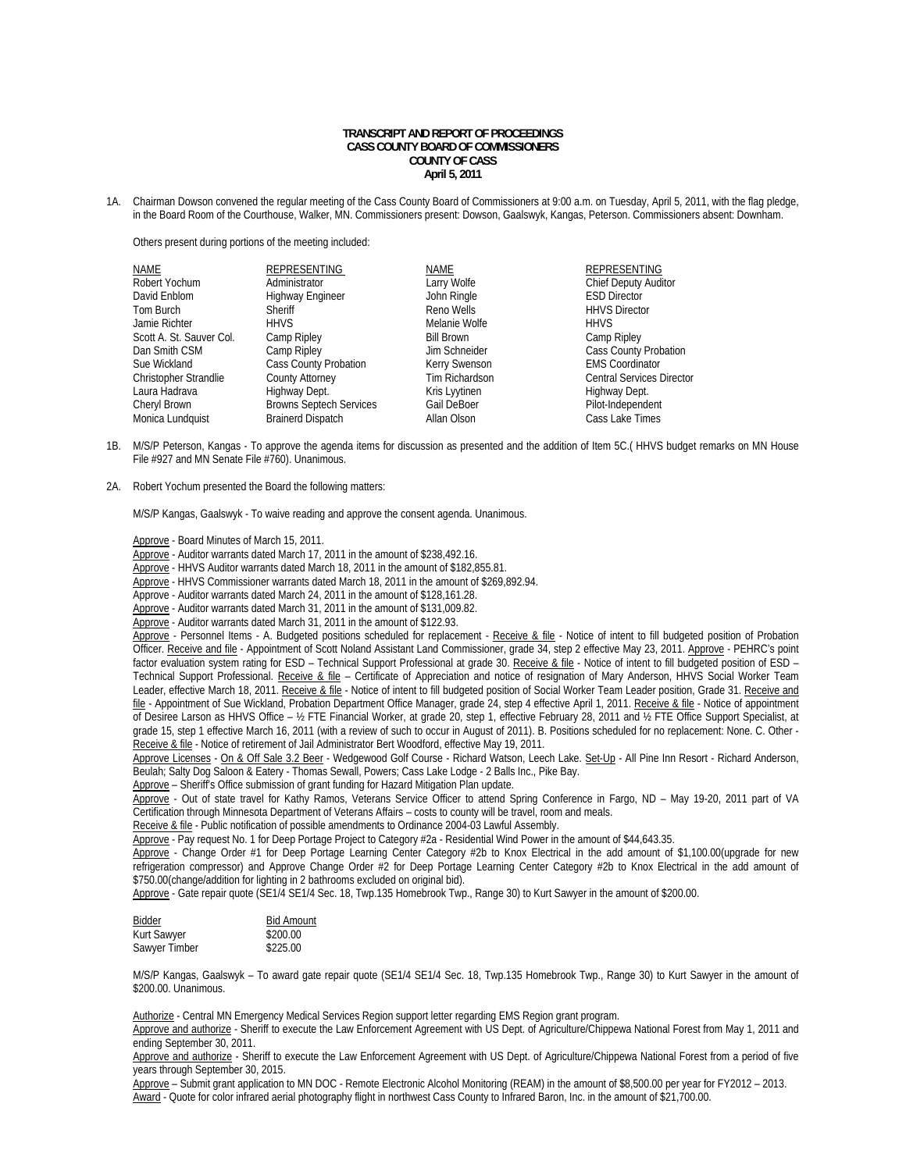## **TRANSCRIPT AND REPORT OF PROCEEDINGS CASS COUNTY BOARD OF COMMISSIONERS COUNTY OF CASS April 5, 2011**

1A. Chairman Dowson convened the regular meeting of the Cass County Board of Commissioners at 9:00 a.m. on Tuesday, April 5, 2011, with the flag pledge, in the Board Room of the Courthouse, Walker, MN. Commissioners present: Dowson, Gaalswyk, Kangas, Peterson. Commissioners absent: Downham.

Others present during portions of the meeting included:

| NAME                         | <b>REPRESENTING</b>            | NAME              | <b>REPRESENTING</b>              |
|------------------------------|--------------------------------|-------------------|----------------------------------|
| Robert Yochum                | Administrator                  | Larry Wolfe       | <b>Chief Deputy Auditor</b>      |
| David Enblom                 | Highway Engineer               | John Ringle       | <b>ESD Director</b>              |
| Tom Burch                    | Sheriff                        | Reno Wells        | <b>HHVS Director</b>             |
| Jamie Richter                | <b>HHVS</b>                    | Melanie Wolfe     | <b>HHVS</b>                      |
| Scott A. St. Sauver Col.     | Camp Ripley                    | <b>Bill Brown</b> | Camp Ripley                      |
| Dan Smith CSM                | Camp Ripley                    | Jim Schneider     | <b>Cass County Probation</b>     |
| Sue Wickland                 | Cass County Probation          | Kerry Swenson     | <b>EMS Coordinator</b>           |
| <b>Christopher Strandlie</b> | County Attorney                | Tim Richardson    | <b>Central Services Director</b> |
| Laura Hadrava                | Highway Dept.                  | Kris Lyytinen     | Highway Dept.                    |
| Cheryl Brown                 | <b>Browns Septech Services</b> | Gail DeBoer       | Pilot-Independent                |
| Monica Lundquist             | <b>Brainerd Dispatch</b>       | Allan Olson       | Cass Lake Times                  |

- 1B. M/S/P Peterson, Kangas To approve the agenda items for discussion as presented and the addition of Item 5C.( HHVS budget remarks on MN House File #927 and MN Senate File #760). Unanimous.
- 2A. Robert Yochum presented the Board the following matters:

M/S/P Kangas, Gaalswyk - To waive reading and approve the consent agenda. Unanimous.

Approve - Board Minutes of March 15, 2011.

Approve - Auditor warrants dated March 17, 2011 in the amount of \$238,492.16.

- Approve HHVS Auditor warrants dated March 18, 2011 in the amount of \$182,855.81.
- Approve HHVS Commissioner warrants dated March 18, 2011 in the amount of \$269,892.94.

Approve - Auditor warrants dated March 24, 2011 in the amount of \$128,161.28.

- Approve Auditor warrants dated March 31, 2011 in the amount of \$131,009.82.
- Approve Auditor warrants dated March 31, 2011 in the amount of \$122.93.

Approve - Personnel Items - A. Budgeted positions scheduled for replacement - Receive & file - Notice of intent to fill budgeted position of Probation Officer. Receive and file - Appointment of Scott Noland Assistant Land Commissioner, grade 34, step 2 effective May 23, 2011. Approve - PEHRC's point factor evaluation system rating for ESD - Technical Support Professional at grade 30. Receive & file - Notice of intent to fill budgeted position of ESD -Technical Support Professional. Receive & file - Certificate of Appreciation and notice of resignation of Mary Anderson, HHVS Social Worker Team Leader, effective March 18, 2011. Receive & file - Notice of intent to fill budgeted position of Social Worker Team Leader position, Grade 31. Receive and file - Appointment of Sue Wickland, Probation Department Office Manager, grade 24, step 4 effective April 1, 2011. Receive & file - Notice of appointment of Desiree Larson as HHVS Office – ½ FTE Financial Worker, at grade 20, step 1, effective February 28, 2011 and ½ FTE Office Support Specialist, at grade 15, step 1 effective March 16, 2011 (with a review of such to occur in August of 2011). B. Positions scheduled for no replacement: None. C. Other - Receive & file - Notice of retirement of Jail Administrator Bert Woodford, effective May 19, 2011.

Approve Licenses - On & Off Sale 3.2 Beer - Wedgewood Golf Course - Richard Watson, Leech Lake. Set-Up - All Pine Inn Resort - Richard Anderson, Beulah; Salty Dog Saloon & Eatery - Thomas Sewall, Powers; Cass Lake Lodge - 2 Balls Inc., Pike Bay.

Approve - Sheriff's Office submission of grant funding for Hazard Mitigation Plan update.

 Approve - Out of state travel for Kathy Ramos, Veterans Service Officer to attend Spring Conference in Fargo, ND – May 19-20, 2011 part of VA Certification through Minnesota Department of Veterans Affairs – costs to county will be travel, room and meals.

Receive & file - Public notification of possible amendments to Ordinance 2004-03 Lawful Assembly.

Approve - Pay request No. 1 for Deep Portage Project to Category #2a - Residential Wind Power in the amount of \$44,643.35.

Approve - Change Order #1 for Deep Portage Learning Center Category #2b to Knox Electrical in the add amount of \$1,100.00(upgrade for new refrigeration compressor) and Approve Change Order #2 for Deep Portage Learning Center Category #2b to Knox Electrical in the add amount of \$750.00(change/addition for lighting in 2 bathrooms excluded on original bid).

Approve - Gate repair quote (SE1/4 SE1/4 Sec. 18, Twp.135 Homebrook Twp., Range 30) to Kurt Sawyer in the amount of \$200.00.

| Bidder        | <b>Bid Amount</b> |
|---------------|-------------------|
| Kurt Sawyer   | \$200.00          |
| Sawyer Timber | \$225.00          |

 M/S/P Kangas, Gaalswyk – To award gate repair quote (SE1/4 SE1/4 Sec. 18, Twp.135 Homebrook Twp., Range 30) to Kurt Sawyer in the amount of \$200.00. Unanimous.

Authorize - Central MN Emergency Medical Services Region support letter regarding EMS Region grant program.

 Approve and authorize - Sheriff to execute the Law Enforcement Agreement with US Dept. of Agriculture/Chippewa National Forest from May 1, 2011 and ending September 30, 2011.

Approve and authorize - Sheriff to execute the Law Enforcement Agreement with US Dept. of Agriculture/Chippewa National Forest from a period of five years through September 30, 2015.

 Approve – Submit grant application to MN DOC - Remote Electronic Alcohol Monitoring (REAM) in the amount of \$8,500.00 per year for FY2012 – 2013. Award - Quote for color infrared aerial photography flight in northwest Cass County to Infrared Baron, Inc. in the amount of \$21,700.00.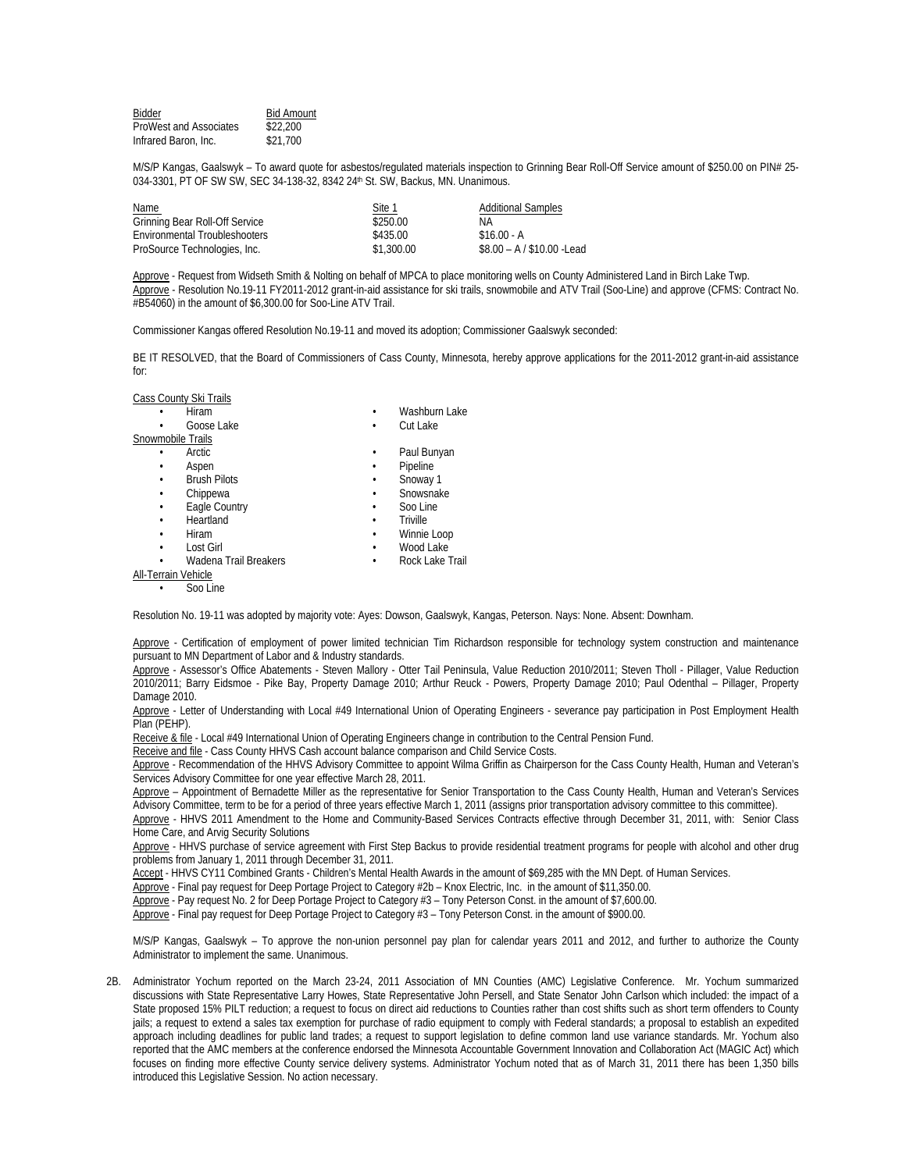| Bidder                 | <b>Bid Amount</b> |
|------------------------|-------------------|
| ProWest and Associates | \$22,200          |
| Infrared Baron, Inc.   | \$21,700          |

M/S/P Kangas, Gaalswyk – To award quote for asbestos/regulated materials inspection to Grinning Bear Roll-Off Service amount of \$250.00 on PIN# 25- 034-3301, PT OF SW SW, SEC 34-138-32, 8342 24<sup>th</sup> St. SW, Backus, MN. Unanimous.

| Name                           | Site 1     | <b>Additional Samples</b>  |
|--------------------------------|------------|----------------------------|
| Grinning Bear Roll-Off Service | \$250.00   | ΝA                         |
| Environmental Troubleshooters  | \$435.00   | $$16.00 - A$               |
| ProSource Technologies, Inc.   | \$1,300.00 | $$8.00 - A / $10.00$ -Lead |

Approve - Request from Widseth Smith & Nolting on behalf of MPCA to place monitoring wells on County Administered Land in Birch Lake Twp. Approve - Resolution No.19-11 FY2011-2012 grant-in-aid assistance for ski trails, snowmobile and ATV Trail (Soo-Line) and approve (CFMS: Contract No. #B54060) in the amount of \$6,300.00 for Soo-Line ATV Trail.

Commissioner Kangas offered Resolution No.19-11 and moved its adoption; Commissioner Gaalswyk seconded:

BE IT RESOLVED, that the Board of Commissioners of Cass County, Minnesota, hereby approve applications for the 2011-2012 grant-in-aid assistance for:

Cass County Ski Trails

|                     | Hiram                 |   | Washburn Lake   |
|---------------------|-----------------------|---|-----------------|
|                     | Goose Lake            | ٠ | Cut Lake        |
| Snowmobile Trails   |                       |   |                 |
|                     | Arctic                | ٠ | Paul Bunyan     |
|                     | Aspen                 | ٠ | Pipeline        |
|                     | <b>Brush Pilots</b>   | ٠ | Snoway 1        |
| ٠                   | Chippewa              | ٠ | Snowsnake       |
|                     | Eagle Country         | ٠ | Soo Line        |
| ٠                   | Heartland             | ٠ | Triville        |
|                     | Hiram                 | ٠ | Winnie Loop     |
|                     | Lost Girl             | ٠ | Wood Lake       |
|                     | Wadena Trail Breakers | ٠ | Rock Lake Trail |
| All-Terrain Vehicle |                       |   |                 |
|                     | Soo Line              |   |                 |

Resolution No. 19-11 was adopted by majority vote: Ayes: Dowson, Gaalswyk, Kangas, Peterson. Nays: None. Absent: Downham.

Approve - Certification of employment of power limited technician Tim Richardson responsible for technology system construction and maintenance pursuant to MN Department of Labor and & Industry standards.

Approve - Assessor's Office Abatements - Steven Mallory - Otter Tail Peninsula, Value Reduction 2010/2011; Steven Tholl - Pillager, Value Reduction 2010/2011; Barry Eidsmoe - Pike Bay, Property Damage 2010; Arthur Reuck - Powers, Property Damage 2010; Paul Odenthal – Pillager, Property Damage 2010.

Approve - Letter of Understanding with Local #49 International Union of Operating Engineers - severance pay participation in Post Employment Health Plan (PEHP).

Receive & file - Local #49 International Union of Operating Engineers change in contribution to the Central Pension Fund.

Receive and file - Cass County HHVS Cash account balance comparison and Child Service Costs.

Approve - Recommendation of the HHVS Advisory Committee to appoint Wilma Griffin as Chairperson for the Cass County Health, Human and Veteran's Services Advisory Committee for one year effective March 28, 2011.

 Approve – Appointment of Bernadette Miller as the representative for Senior Transportation to the Cass County Health, Human and Veteran's Services Advisory Committee, term to be for a period of three years effective March 1, 2011 (assigns prior transportation advisory committee to this committee).

Approve - HHVS 2011 Amendment to the Home and Community-Based Services Contracts effective through December 31, 2011, with: Senior Class Home Care, and Arvig Security Solutions

Approve - HHVS purchase of service agreement with First Step Backus to provide residential treatment programs for people with alcohol and other drug problems from January 1, 2011 through December 31, 2011.

Accept - HHVS CY11 Combined Grants - Children's Mental Health Awards in the amount of \$69,285 with the MN Dept. of Human Services.

Approve - Final pay request for Deep Portage Project to Category #2b – Knox Electric, Inc. in the amount of \$11,350.00.

Approve - Pay request No. 2 for Deep Portage Project to Category #3 – Tony Peterson Const. in the amount of \$7,600.00.

Approve - Final pay request for Deep Portage Project to Category #3 – Tony Peterson Const. in the amount of \$900.00.

 M/S/P Kangas, Gaalswyk – To approve the non-union personnel pay plan for calendar years 2011 and 2012, and further to authorize the County Administrator to implement the same. Unanimous.

2B. Administrator Yochum reported on the March 23-24, 2011 Association of MN Counties (AMC) Legislative Conference. Mr. Yochum summarized discussions with State Representative Larry Howes, State Representative John Persell, and State Senator John Carlson which included: the impact of a State proposed 15% PILT reduction; a request to focus on direct aid reductions to Counties rather than cost shifts such as short term offenders to County jails; a request to extend a sales tax exemption for purchase of radio equipment to comply with Federal standards; a proposal to establish an expedited approach including deadlines for public land trades; a request to support legislation to define common land use variance standards. Mr. Yochum also reported that the AMC members at the conference endorsed the Minnesota Accountable Government Innovation and Collaboration Act (MAGIC Act) which focuses on finding more effective County service delivery systems. Administrator Yochum noted that as of March 31, 2011 there has been 1,350 bills introduced this Legislative Session. No action necessary.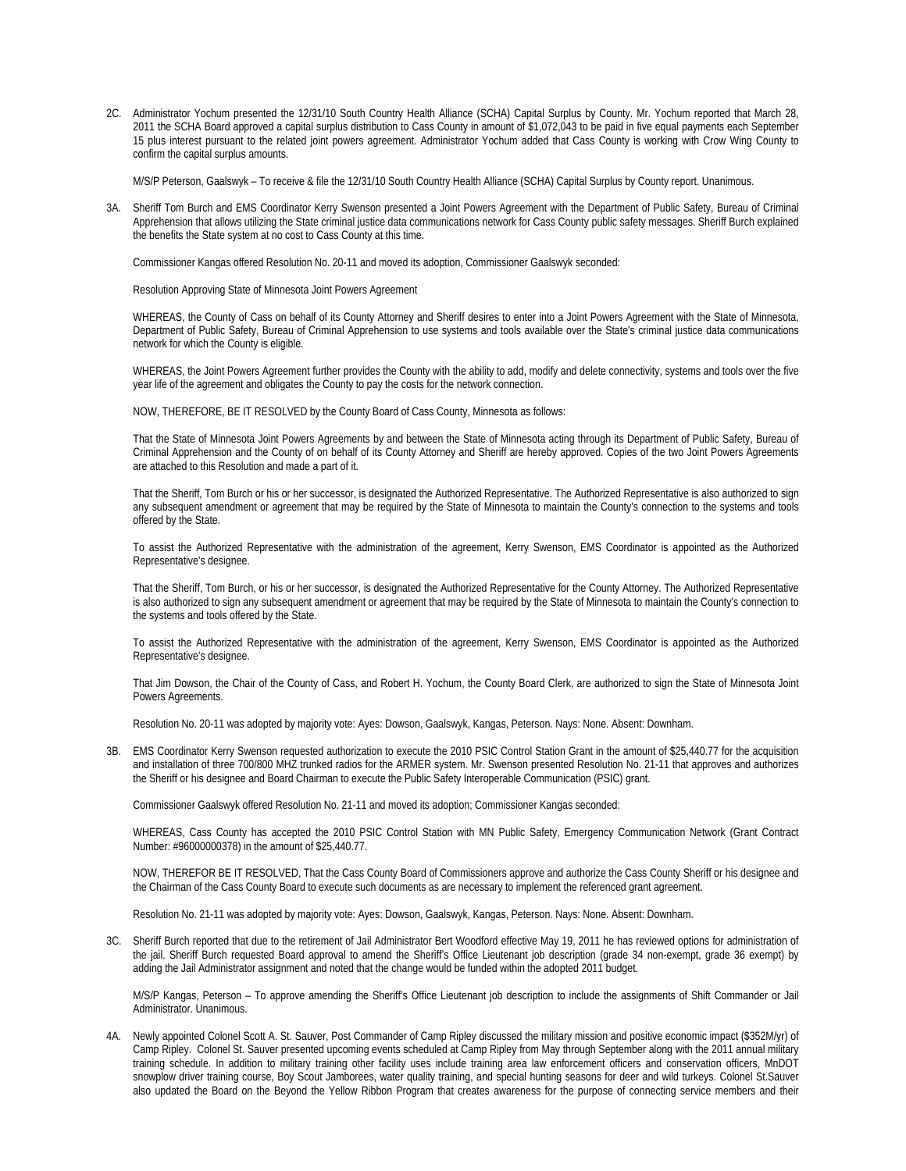2C. Administrator Yochum presented the 12/31/10 South Country Health Alliance (SCHA) Capital Surplus by County. Mr. Yochum reported that March 28, 2011 the SCHA Board approved a capital surplus distribution to Cass County in amount of \$1,072,043 to be paid in five equal payments each September 15 plus interest pursuant to the related joint powers agreement. Administrator Yochum added that Cass County is working with Crow Wing County to confirm the capital surplus amounts.

M/S/P Peterson, Gaalswyk – To receive & file the 12/31/10 South Country Health Alliance (SCHA) Capital Surplus by County report. Unanimous.

3A. Sheriff Tom Burch and EMS Coordinator Kerry Swenson presented a Joint Powers Agreement with the Department of Public Safety, Bureau of Criminal Apprehension that allows utilizing the State criminal justice data communications network for Cass County public safety messages. Sheriff Burch explained the benefits the State system at no cost to Cass County at this time.

Commissioner Kangas offered Resolution No. 20-11 and moved its adoption, Commissioner Gaalswyk seconded:

Resolution Approving State of Minnesota Joint Powers Agreement

WHEREAS, the County of Cass on behalf of its County Attorney and Sheriff desires to enter into a Joint Powers Agreement with the State of Minnesota, Department of Public Safety, Bureau of Criminal Apprehension to use systems and tools available over the State's criminal justice data communications network for which the County is eligible.

WHEREAS, the Joint Powers Agreement further provides the County with the ability to add, modify and delete connectivity, systems and tools over the five year life of the agreement and obligates the County to pay the costs for the network connection.

NOW, THEREFORE, BE IT RESOLVED by the County Board of Cass County, Minnesota as follows:

That the State of Minnesota Joint Powers Agreements by and between the State of Minnesota acting through its Department of Public Safety, Bureau of Criminal Apprehension and the County of on behalf of its County Attorney and Sheriff are hereby approved. Copies of the two Joint Powers Agreements are attached to this Resolution and made a part of it.

That the Sheriff, Tom Burch or his or her successor, is designated the Authorized Representative. The Authorized Representative is also authorized to sign any subsequent amendment or agreement that may be required by the State of Minnesota to maintain the County's connection to the systems and tools offered by the State.

To assist the Authorized Representative with the administration of the agreement, Kerry Swenson, EMS Coordinator is appointed as the Authorized Representative's designee.

That the Sheriff, Tom Burch, or his or her successor, is designated the Authorized Representative for the County Attorney. The Authorized Representative is also authorized to sign any subsequent amendment or agreement that may be required by the State of Minnesota to maintain the County's connection to the systems and tools offered by the State.

To assist the Authorized Representative with the administration of the agreement, Kerry Swenson, EMS Coordinator is appointed as the Authorized Representative's designee.

That Jim Dowson, the Chair of the County of Cass, and Robert H. Yochum, the County Board Clerk, are authorized to sign the State of Minnesota Joint Powers Agreements.

Resolution No. 20-11 was adopted by majority vote: Ayes: Dowson, Gaalswyk, Kangas, Peterson. Nays: None. Absent: Downham.

3B. EMS Coordinator Kerry Swenson requested authorization to execute the 2010 PSIC Control Station Grant in the amount of \$25,440.77 for the acquisition and installation of three 700/800 MHZ trunked radios for the ARMER system. Mr. Swenson presented Resolution No. 21-11 that approves and authorizes the Sheriff or his designee and Board Chairman to execute the Public Safety Interoperable Communication (PSIC) grant.

Commissioner Gaalswyk offered Resolution No. 21-11 and moved its adoption; Commissioner Kangas seconded:

WHEREAS, Cass County has accepted the 2010 PSIC Control Station with MN Public Safety, Emergency Communication Network (Grant Contract Number: #96000000378) in the amount of \$25,440.77.

NOW, THEREFOR BE IT RESOLVED, That the Cass County Board of Commissioners approve and authorize the Cass County Sheriff or his designee and the Chairman of the Cass County Board to execute such documents as are necessary to implement the referenced grant agreement.

Resolution No. 21-11 was adopted by majority vote: Ayes: Dowson, Gaalswyk, Kangas, Peterson. Nays: None. Absent: Downham.

3C. Sheriff Burch reported that due to the retirement of Jail Administrator Bert Woodford effective May 19, 2011 he has reviewed options for administration of the jail. Sheriff Burch requested Board approval to amend the Sheriff's Office Lieutenant job description (grade 34 non-exempt, grade 36 exempt) by adding the Jail Administrator assignment and noted that the change would be funded within the adopted 2011 budget.

M/S/P Kangas, Peterson – To approve amending the Sheriff's Office Lieutenant job description to include the assignments of Shift Commander or Jail Administrator. Unanimous.

4A. Newly appointed Colonel Scott A. St. Sauver, Post Commander of Camp Ripley discussed the military mission and positive economic impact (\$352M/yr) of Camp Ripley. Colonel St. Sauver presented upcoming events scheduled at Camp Ripley from May through September along with the 2011 annual military training schedule. In addition to military training other facility uses include training area law enforcement officers and conservation officers, MnDOT snowplow driver training course, Boy Scout Jamborees, water quality training, and special hunting seasons for deer and wild turkeys. Colonel St.Sauver also updated the Board on the Beyond the Yellow Ribbon Program that creates awareness for the purpose of connecting service members and their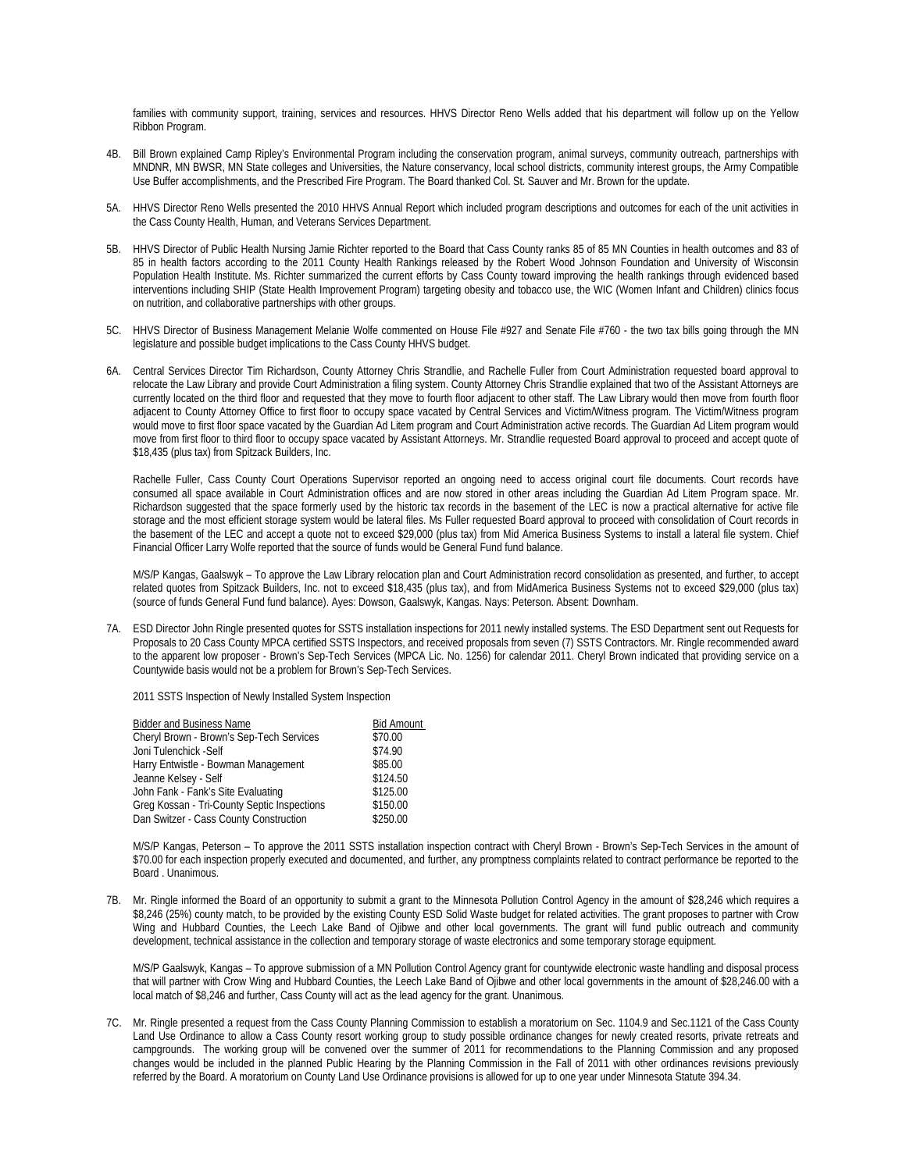families with community support, training, services and resources. HHVS Director Reno Wells added that his department will follow up on the Yellow Ribbon Program.

- Bill Brown explained Camp Ripley's Environmental Program including the conservation program, animal surveys, community outreach, partnerships with MNDNR, MN BWSR, MN State colleges and Universities, the Nature conservancy, local school districts, community interest groups, the Army Compatible Use Buffer accomplishments, and the Prescribed Fire Program. The Board thanked Col. St. Sauver and Mr. Brown for the update.
- 5A. HHVS Director Reno Wells presented the 2010 HHVS Annual Report which included program descriptions and outcomes for each of the unit activities in the Cass County Health, Human, and Veterans Services Department.
- 5B. HHVS Director of Public Health Nursing Jamie Richter reported to the Board that Cass County ranks 85 of 85 MN Counties in health outcomes and 83 of 85 in health factors according to the 2011 County Health Rankings released by the Robert Wood Johnson Foundation and University of Wisconsin Population Health Institute. Ms. Richter summarized the current efforts by Cass County toward improving the health rankings through evidenced based interventions including SHIP (State Health Improvement Program) targeting obesity and tobacco use, the WIC (Women Infant and Children) clinics focus on nutrition, and collaborative partnerships with other groups.
- 5C. HHVS Director of Business Management Melanie Wolfe commented on House File #927 and Senate File #760 the two tax bills going through the MN legislature and possible budget implications to the Cass County HHVS budget.
- 6A. Central Services Director Tim Richardson, County Attorney Chris Strandlie, and Rachelle Fuller from Court Administration requested board approval to relocate the Law Library and provide Court Administration a filing system. County Attorney Chris Strandlie explained that two of the Assistant Attorneys are currently located on the third floor and requested that they move to fourth floor adjacent to other staff. The Law Library would then move from fourth floor adjacent to County Attorney Office to first floor to occupy space vacated by Central Services and Victim/Witness program. The Victim/Witness program would move to first floor space vacated by the Guardian Ad Litem program and Court Administration active records. The Guardian Ad Litem program would move from first floor to third floor to occupy space vacated by Assistant Attorneys. Mr. Strandlie requested Board approval to proceed and accept quote of \$18,435 (plus tax) from Spitzack Builders, Inc.

Rachelle Fuller, Cass County Court Operations Supervisor reported an ongoing need to access original court file documents. Court records have consumed all space available in Court Administration offices and are now stored in other areas including the Guardian Ad Litem Program space. Mr. Richardson suggested that the space formerly used by the historic tax records in the basement of the LEC is now a practical alternative for active file storage and the most efficient storage system would be lateral files. Ms Fuller requested Board approval to proceed with consolidation of Court records in the basement of the LEC and accept a quote not to exceed \$29,000 (plus tax) from Mid America Business Systems to install a lateral file system. Chief Financial Officer Larry Wolfe reported that the source of funds would be General Fund fund balance.

 M/S/P Kangas, Gaalswyk – To approve the Law Library relocation plan and Court Administration record consolidation as presented, and further, to accept related quotes from Spitzack Builders, Inc. not to exceed \$18,435 (plus tax), and from MidAmerica Business Systems not to exceed \$29,000 (plus tax) (source of funds General Fund fund balance). Ayes: Dowson, Gaalswyk, Kangas. Nays: Peterson. Absent: Downham.

7A. ESD Director John Ringle presented quotes for SSTS installation inspections for 2011 newly installed systems. The ESD Department sent out Requests for Proposals to 20 Cass County MPCA certified SSTS Inspectors, and received proposals from seven (7) SSTS Contractors. Mr. Ringle recommended award to the apparent low proposer - Brown's Sep-Tech Services (MPCA Lic. No. 1256) for calendar 2011. Cheryl Brown indicated that providing service on a Countywide basis would not be a problem for Brown's Sep-Tech Services.

2011 SSTS Inspection of Newly Installed System Inspection

| <b>Bidder and Business Name</b>             | <b>Bid Amount</b> |
|---------------------------------------------|-------------------|
| Cheryl Brown - Brown's Sep-Tech Services    | \$70.00           |
| Joni Tulenchick - Self                      | \$74.90           |
| Harry Entwistle - Bowman Management         | \$85.00           |
| Jeanne Kelsey - Self                        | \$124.50          |
| John Fank - Fank's Site Evaluating          | \$125.00          |
| Greg Kossan - Tri-County Septic Inspections | \$150.00          |
| Dan Switzer - Cass County Construction      | \$250.00          |

M/S/P Kangas, Peterson – To approve the 2011 SSTS installation inspection contract with Cheryl Brown - Brown's Sep-Tech Services in the amount of \$70.00 for each inspection properly executed and documented, and further, any promptness complaints related to contract performance be reported to the Board . Unanimous.

7B. Mr. Ringle informed the Board of an opportunity to submit a grant to the Minnesota Pollution Control Agency in the amount of \$28,246 which requires a \$8,246 (25%) county match, to be provided by the existing County ESD Solid Waste budget for related activities. The grant proposes to partner with Crow Wing and Hubbard Counties, the Leech Lake Band of Ojibwe and other local governments. The grant will fund public outreach and community development, technical assistance in the collection and temporary storage of waste electronics and some temporary storage equipment.

M/S/P Gaalswyk, Kangas – To approve submission of a MN Pollution Control Agency grant for countywide electronic waste handling and disposal process that will partner with Crow Wing and Hubbard Counties, the Leech Lake Band of Ojibwe and other local governments in the amount of \$28,246.00 with a local match of \$8,246 and further, Cass County will act as the lead agency for the grant. Unanimous.

7C. Mr. Ringle presented a request from the Cass County Planning Commission to establish a moratorium on Sec. 1104.9 and Sec.1121 of the Cass County Land Use Ordinance to allow a Cass County resort working group to study possible ordinance changes for newly created resorts, private retreats and campgrounds. The working group will be convened over the summer of 2011 for recommendations to the Planning Commission and any proposed changes would be included in the planned Public Hearing by the Planning Commission in the Fall of 2011 with other ordinances revisions previously referred by the Board. A moratorium on County Land Use Ordinance provisions is allowed for up to one year under Minnesota Statute 394.34.